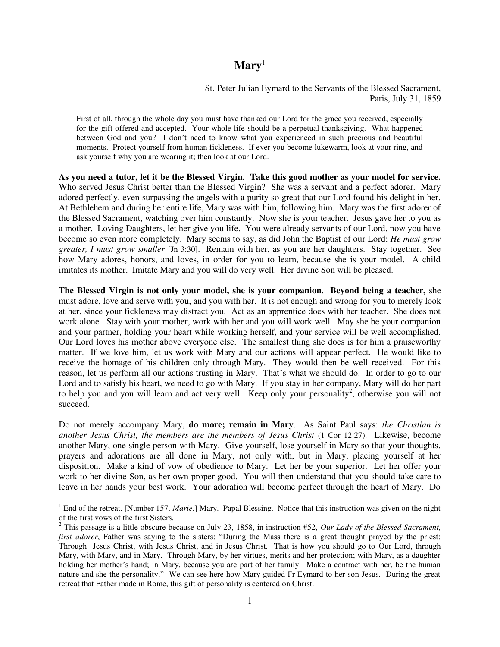## **Mary**<sup>1</sup>

St. Peter Julian Eymard to the Servants of the Blessed Sacrament, Paris, July 31, 1859

First of all, through the whole day you must have thanked our Lord for the grace you received, especially for the gift offered and accepted. Your whole life should be a perpetual thanksgiving. What happened between God and you? I don't need to know what you experienced in such precious and beautiful moments. Protect yourself from human fickleness. If ever you become lukewarm, look at your ring, and ask yourself why you are wearing it; then look at our Lord.

**As you need a tutor, let it be the Blessed Virgin. Take this good mother as your model for service.** Who served Jesus Christ better than the Blessed Virgin? She was a servant and a perfect adorer. Mary adored perfectly, even surpassing the angels with a purity so great that our Lord found his delight in her. At Bethlehem and during her entire life, Mary was with him, following him. Mary was the first adorer of the Blessed Sacrament, watching over him constantly. Now she is your teacher. Jesus gave her to you as a mother. Loving Daughters, let her give you life. You were already servants of our Lord, now you have become so even more completely. Mary seems to say, as did John the Baptist of our Lord: *He must grow greater, I must grow smaller* [Jn 3:30]. Remain with her, as you are her daughters. Stay together. See how Mary adores, honors, and loves, in order for you to learn, because she is your model. A child imitates its mother. Imitate Mary and you will do very well. Her divine Son will be pleased.

**The Blessed Virgin is not only your model, she is your companion. Beyond being a teacher,** she must adore, love and serve with you, and you with her. It is not enough and wrong for you to merely look at her, since your fickleness may distract you. Act as an apprentice does with her teacher. She does not work alone. Stay with your mother, work with her and you will work well. May she be your companion and your partner, holding your heart while working herself, and your service will be well accomplished. Our Lord loves his mother above everyone else. The smallest thing she does is for him a praiseworthy matter. If we love him, let us work with Mary and our actions will appear perfect. He would like to receive the homage of his children only through Mary. They would then be well received. For this reason, let us perform all our actions trusting in Mary. That's what we should do. In order to go to our Lord and to satisfy his heart, we need to go with Mary. If you stay in her company, Mary will do her part to help you and you will learn and act very well. Keep only your personality<sup>2</sup>, otherwise you will not succeed.

Do not merely accompany Mary, **do more; remain in Mary**. As Saint Paul says: *the Christian is another Jesus Christ, the members are the members of Jesus Christ* (1 Cor 12:27). Likewise, become another Mary, one single person with Mary. Give yourself, lose yourself in Mary so that your thoughts, prayers and adorations are all done in Mary, not only with, but in Mary, placing yourself at her disposition. Make a kind of vow of obedience to Mary. Let her be your superior. Let her offer your work to her divine Son, as her own proper good. You will then understand that you should take care to leave in her hands your best work. Your adoration will become perfect through the heart of Mary. Do

 $\overline{a}$ 

<sup>&</sup>lt;sup>1</sup> End of the retreat. [Number 157. *Marie.*] Mary. Papal Blessing. Notice that this instruction was given on the night of the first vows of the first Sisters.

<sup>2</sup> This passage is a little obscure because on July 23, 1858, in instruction #52, *Our Lady of the Blessed Sacrament, first adorer*, Father was saying to the sisters: "During the Mass there is a great thought prayed by the priest: Through Jesus Christ, with Jesus Christ, and in Jesus Christ. That is how you should go to Our Lord, through Mary, with Mary, and in Mary. Through Mary, by her virtues, merits and her protection; with Mary, as a daughter holding her mother's hand; in Mary, because you are part of her family. Make a contract with her, be the human nature and she the personality." We can see here how Mary guided Fr Eymard to her son Jesus. During the great retreat that Father made in Rome, this gift of personality is centered on Christ.